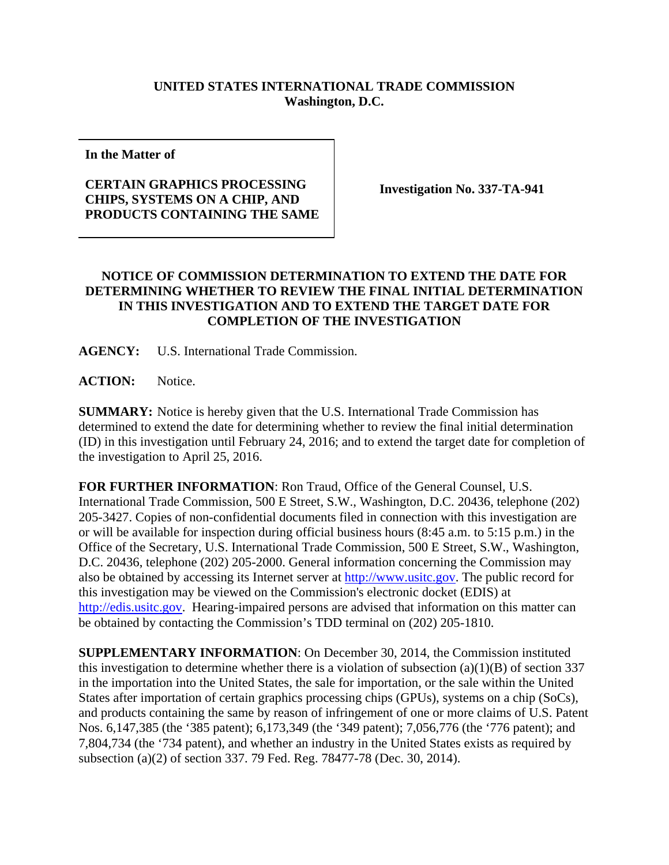## **UNITED STATES INTERNATIONAL TRADE COMMISSION Washington, D.C.**

**In the Matter of** 

## **CERTAIN GRAPHICS PROCESSING CHIPS, SYSTEMS ON A CHIP, AND PRODUCTS CONTAINING THE SAME**

**Investigation No. 337-TA-941** 

## **NOTICE OF COMMISSION DETERMINATION TO EXTEND THE DATE FOR DETERMINING WHETHER TO REVIEW THE FINAL INITIAL DETERMINATION IN THIS INVESTIGATION AND TO EXTEND THE TARGET DATE FOR COMPLETION OF THE INVESTIGATION**

**AGENCY:** U.S. International Trade Commission.

**ACTION:** Notice.

**SUMMARY:** Notice is hereby given that the U.S. International Trade Commission has determined to extend the date for determining whether to review the final initial determination (ID) in this investigation until February 24, 2016; and to extend the target date for completion of the investigation to April 25, 2016.

**FOR FURTHER INFORMATION**: Ron Traud, Office of the General Counsel, U.S. International Trade Commission, 500 E Street, S.W., Washington, D.C. 20436, telephone (202) 205-3427. Copies of non-confidential documents filed in connection with this investigation are or will be available for inspection during official business hours (8:45 a.m. to 5:15 p.m.) in the Office of the Secretary, U.S. International Trade Commission, 500 E Street, S.W., Washington, D.C. 20436, telephone (202) 205-2000. General information concerning the Commission may also be obtained by accessing its Internet server at http://www.usitc.gov. The public record for this investigation may be viewed on the Commission's electronic docket (EDIS) at http://edis.usitc.gov. Hearing-impaired persons are advised that information on this matter can be obtained by contacting the Commission's TDD terminal on (202) 205-1810.

**SUPPLEMENTARY INFORMATION**: On December 30, 2014, the Commission instituted this investigation to determine whether there is a violation of subsection  $(a)(1)(B)$  of section 337 in the importation into the United States, the sale for importation, or the sale within the United States after importation of certain graphics processing chips (GPUs), systems on a chip (SoCs), and products containing the same by reason of infringement of one or more claims of U.S. Patent Nos. 6,147,385 (the '385 patent); 6,173,349 (the '349 patent); 7,056,776 (the '776 patent); and 7,804,734 (the '734 patent), and whether an industry in the United States exists as required by subsection (a)(2) of section 337. 79 Fed. Reg. 78477-78 (Dec. 30, 2014).